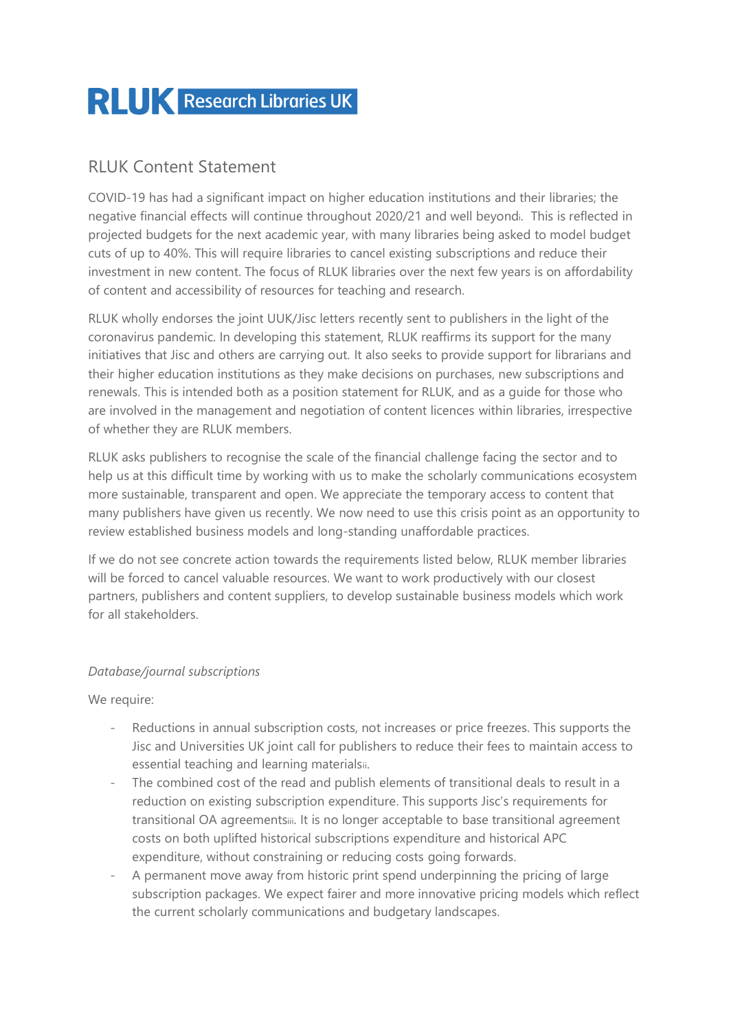# **RUK** Research Libraries UK

# RLUK Content Statement

COVID-19 has had a significant impact on higher education institutions and their libraries; the negative financial effects will continue throughout 2020/21 and well beyondi. This is reflected in projected budgets for the next academic year, with many libraries being asked to model budget cuts of up to 40%. This will require libraries to cancel existing subscriptions and reduce their investment in new content. The focus of RLUK libraries over the next few years is on affordability of content and accessibility of resources for teaching and research.

RLUK wholly endorses the joint UUK/Jisc letters recently sent to publishers in the light of the coronavirus pandemic. In developing this statement, RLUK reaffirms its support for the many initiatives that Jisc and others are carrying out. It also seeks to provide support for librarians and their higher education institutions as they make decisions on purchases, new subscriptions and renewals. This is intended both as a position statement for RLUK, and as a guide for those who are involved in the management and negotiation of content licences within libraries, irrespective of whether they are RLUK members.

RLUK asks publishers to recognise the scale of the financial challenge facing the sector and to help us at this difficult time by working with us to make the scholarly communications ecosystem more sustainable, transparent and open. We appreciate the temporary access to content that many publishers have given us recently. We now need to use this crisis point as an opportunity to review established business models and long-standing unaffordable practices.

If we do not see concrete action towards the requirements listed below, RLUK member libraries will be forced to cancel valuable resources. We want to work productively with our closest partners, publishers and content suppliers, to develop sustainable business models which work for all stakeholders.

# *Database/journal subscriptions*

We require:

- Reductions in annual subscription costs, not increases or price freezes. This supports the Jisc and Universities UK joint call for publishers to reduce their fees to maintain access to essential teaching and learning materialsii.
- The combined cost of the read and publish elements of transitional deals to result in a reduction on existing subscription expenditure. This supports Jisc's requirements for transitional OA agreementsiii. It is no longer acceptable to base transitional agreement costs on both uplifted historical subscriptions expenditure and historical APC expenditure, without constraining or reducing costs going forwards.
- A permanent move away from historic print spend underpinning the pricing of large subscription packages. We expect fairer and more innovative pricing models which reflect the current scholarly communications and budgetary landscapes.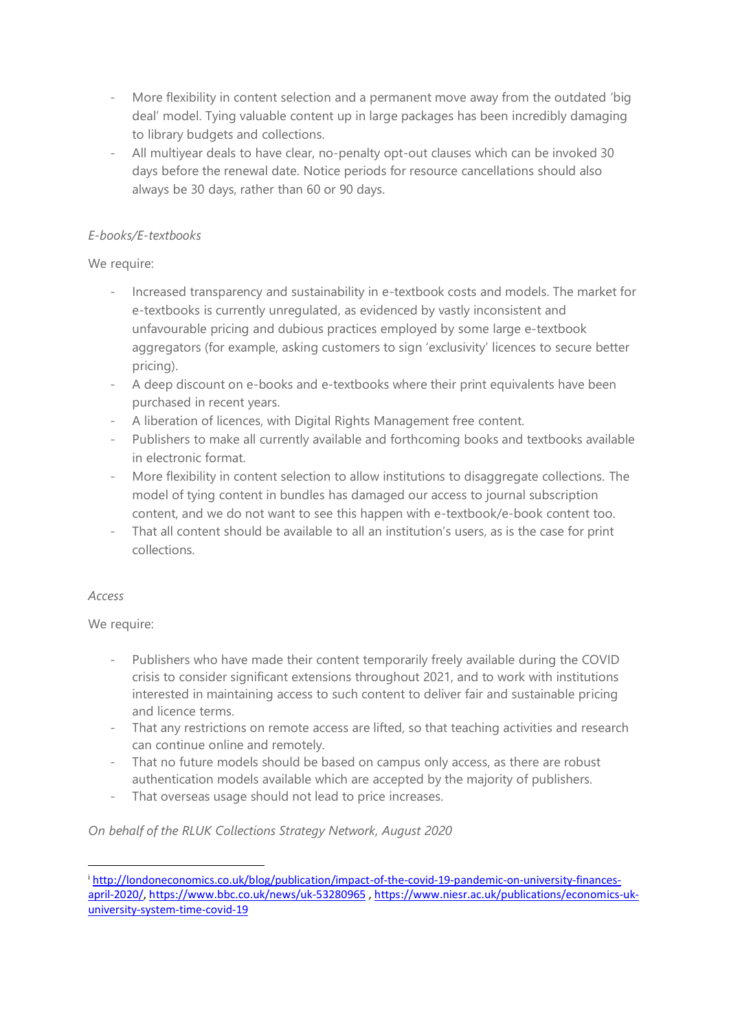- More flexibility in content selection and a permanent move away from the outdated 'big deal' model. Tying valuable content up in large packages has been incredibly damaging to library budgets and collections.
- All multiyear deals to have clear, no-penalty opt-out clauses which can be invoked 30 days before the renewal date. Notice periods for resource cancellations should also always be 30 days, rather than 60 or 90 days.

# *E-books/E-textbooks*

# We require:

- Increased transparency and sustainability in e-textbook costs and models. The market for e-textbooks is currently unregulated, as evidenced by vastly inconsistent and unfavourable pricing and dubious practices employed by some large e-textbook aggregators (for example, asking customers to sign 'exclusivity' licences to secure better pricing).
- A deep discount on e-books and e-textbooks where their print equivalents have been purchased in recent years.
- A liberation of licences, with Digital Rights Management free content.
- Publishers to make all currently available and forthcoming books and textbooks available in electronic format.
- More flexibility in content selection to allow institutions to disaggregate collections. The model of tying content in bundles has damaged our access to journal subscription content, and we do not want to see this happen with e-textbook/e-book content too.
- That all content should be available to all an institution's users, as is the case for print collections.

# *Access*

We require:

- Publishers who have made their content temporarily freely available during the COVID crisis to consider significant extensions throughout 2021, and to work with institutions interested in maintaining access to such content to deliver fair and sustainable pricing and licence terms.
- That any restrictions on remote access are lifted, so that teaching activities and research can continue online and remotely.
- That no future models should be based on campus only access, as there are robust authentication models available which are accepted by the majority of publishers.
- That overseas usage should not lead to price increases.

# *On behalf of the RLUK Collections Strategy Network, August 2020*

i[http://londoneconomics.co.uk/blog/publication/impact-of-the-covid-19-pandemic-on-university-finances](http://londoneconomics.co.uk/blog/publication/impact-of-the-covid-19-pandemic-on-university-finances-april-2020/)[april-2020/,](http://londoneconomics.co.uk/blog/publication/impact-of-the-covid-19-pandemic-on-university-finances-april-2020/) <https://www.bbc.co.uk/news/uk-53280965> , [https://www.niesr.ac.uk/publications/economics-uk](https://www.niesr.ac.uk/publications/economics-uk-university-system-time-covid-19)[university-system-time-covid-19](https://www.niesr.ac.uk/publications/economics-uk-university-system-time-covid-19)